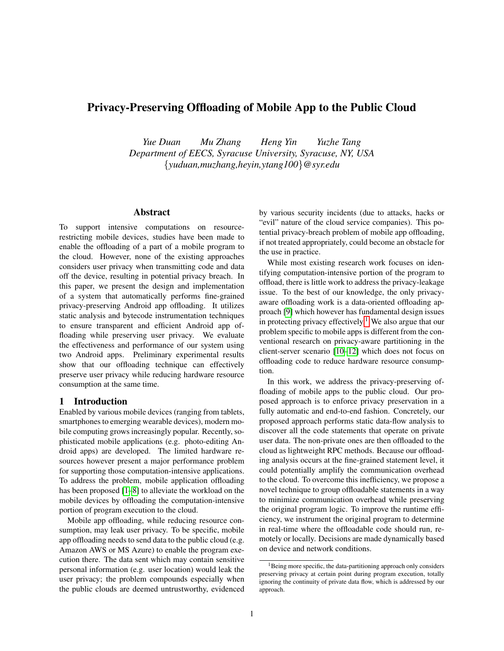# Privacy-Preserving Offloading of Mobile App to the Public Cloud

*Yue Duan Mu Zhang Heng Yin Yuzhe Tang Department of EECS, Syracuse University, Syracuse, NY, USA* {*yuduan,muzhang,heyin,ytang100*}*@syr.edu*

### Abstract

To support intensive computations on resourcerestricting mobile devices, studies have been made to enable the offloading of a part of a mobile program to the cloud. However, none of the existing approaches considers user privacy when transmitting code and data off the device, resulting in potential privacy breach. In this paper, we present the design and implementation of a system that automatically performs fine-grained privacy-preserving Android app offloading. It utilizes static analysis and bytecode instrumentation techniques to ensure transparent and efficient Android app offloading while preserving user privacy. We evaluate the effectiveness and performance of our system using two Android apps. Preliminary experimental results show that our offloading technique can effectively preserve user privacy while reducing hardware resource consumption at the same time.

#### 1 Introduction

Enabled by various mobile devices (ranging from tablets, smartphones to emerging wearable devices), modern mobile computing grows increasingly popular. Recently, sophisticated mobile applications (e.g. photo-editing Android apps) are developed. The limited hardware resources however present a major performance problem for supporting those computation-intensive applications. To address the problem, mobile application offloading has been proposed [\[1](#page-5-0)[–8\]](#page-5-1) to alleviate the workload on the mobile devices by offloading the computation-intensive portion of program execution to the cloud.

Mobile app offloading, while reducing resource consumption, may leak user privacy. To be specific, mobile app offloading needs to send data to the public cloud (e.g. Amazon AWS or MS Azure) to enable the program execution there. The data sent which may contain sensitive personal information (e.g. user location) would leak the user privacy; the problem compounds especially when the public clouds are deemed untrustworthy, evidenced by various security incidents (due to attacks, hacks or "evil" nature of the cloud service companies). This potential privacy-breach problem of mobile app offloading, if not treated appropriately, could become an obstacle for the use in practice.

While most existing research work focuses on identifying computation-intensive portion of the program to offload, there is little work to address the privacy-leakage issue. To the best of our knowledge, the only privacyaware offloading work is a data-oriented offloading approach [\[9\]](#page-6-0) which however has fundamental design issues in protecting privacy effectively.<sup>[1](#page-0-0)</sup> We also argue that our problem specific to mobile apps is different from the conventional research on privacy-aware partitioning in the client-server scenario [\[10–](#page-6-1)[12\]](#page-6-2) which does not focus on offloading code to reduce hardware resource consumption.

In this work, we address the privacy-preserving offloading of mobile apps to the public cloud. Our proposed approach is to enforce privacy preservation in a fully automatic and end-to-end fashion. Concretely, our proposed approach performs static data-flow analysis to discover all the code statements that operate on private user data. The non-private ones are then offloaded to the cloud as lightweight RPC methods. Because our offloading analysis occurs at the fine-grained statement level, it could potentially amplify the communication overhead to the cloud. To overcome this inefficiency, we propose a novel technique to group offloadable statements in a way to minimize communication overhead while preserving the original program logic. To improve the runtime efficiency, we instrument the original program to determine in real-time where the offloadable code should run, remotely or locally. Decisions are made dynamically based on device and network conditions.

<span id="page-0-0"></span><sup>&</sup>lt;sup>1</sup>Being more specific, the data-partitioning approach only considers preserving privacy at certain point during program execution, totally ignoring the continuity of private data flow, which is addressed by our approach.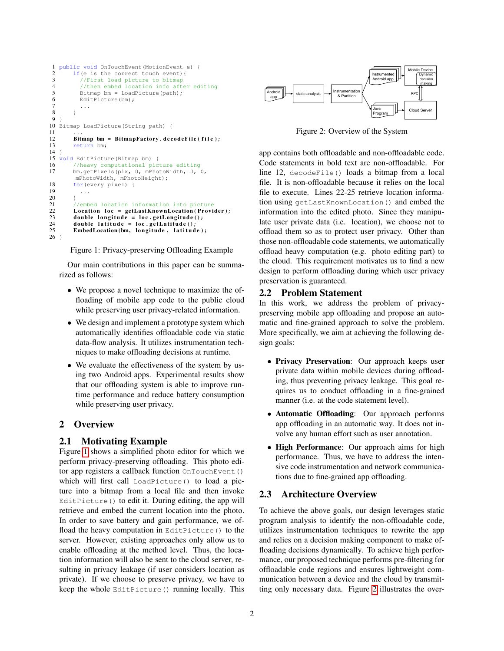```
1 public void OnTouchEvent (MotionEvent e) {<br>2 if (e is the correct touch event) {
 2 if(e is the correct touch event){<br>3 //First load picture to bitmap
 3 //First load picture to bitmap<br>4 //then embed location info aft
 4 //then embed location info after editing<br>5 Bitmap bm = LoadPicture(path);
 5 Bitmap bm = LoadPicture(path);<br>6 EditPicture(bm);
              EditPicture(bm);
 7 ...
 8 }
\frac{9}{10}Bitmap LoadPicture(String path) {
\begin{array}{c} 11 \\ 12 \end{array}12 Bitmap bm = BitmapFactory.decodeFile(file);<br>13 return bm;
    return bm;
\frac{14}{15}void EditPicture(Bitmap bm) {
16 //heavy computational picture editing<br>17 bm. getPixels(pix. 0. mPhotoWidth. 0. 0
           bm.getPixels(pix, 0, mPhotoWidth, 0, 0,
            mPhotoWidth, mPhotoHeight);
18 for (every pixel) {<br>19 ...
              19 ...
\begin{array}{ccc}\n20 & & & \\
21 & & & \end{array}21 //embed location information into picture<br>22 Location loc = getLastKnownLocation(Provi
22 Location loc = getLastKnownLocation (Provider);<br>23 double longitude = loc.getLongitude();
23 double longitude = loc.getLongitude();<br>24 double latitude = loc.getLatitude();
24 double latitude = loc.getLatitude();<br>25 EmbedLocation(bm, longitude, latitud
           EmbedLocation (bm, longitude, latitude);
26 }
```
Figure 1: Privacy-preserving Offloading Example

Our main contributions in this paper can be summarized as follows:

- We propose a novel technique to maximize the offloading of mobile app code to the public cloud while preserving user privacy-related information.
- We design and implement a prototype system which automatically identifies offloadable code via static data-flow analysis. It utilizes instrumentation techniques to make offloading decisions at runtime.
- We evaluate the effectiveness of the system by using two Android apps. Experimental results show that our offloading system is able to improve runtime performance and reduce battery consumption while preserving user privacy.

# 2 Overview

## 2.1 Motivating Example

Figure [1](#page-1-0) shows a simplified photo editor for which we perform privacy-preserving offloading. This photo editor app registers a callback function OnTouchEvent() which will first call LoadPicture() to load a picture into a bitmap from a local file and then invoke EditPicture() to edit it. During editing, the app will retrieve and embed the current location into the photo. In order to save battery and gain performance, we offload the heavy computation in EditPicture() to the server. However, existing approaches only allow us to enable offloading at the method level. Thus, the location information will also be sent to the cloud server, resulting in privacy leakage (if user considers location as private). If we choose to preserve privacy, we have to keep the whole EditPicture() running locally. This

<span id="page-1-1"></span>

Figure 2: Overview of the System

app contains both offloadable and non-offloadable code. Code statements in bold text are non-offloadable. For line 12, decodeFile() loads a bitmap from a local file. It is non-offloadable because it relies on the local file to execute. Lines 22-25 retrieve location information using getLastKnownLocation() and embed the information into the edited photo. Since they manipulate user private data (i.e. location), we choose not to offload them so as to protect user privacy. Other than those non-offloadable code statements, we automatically offload heavy computation (e.g. photo editing part) to the cloud. This requirement motivates us to find a new design to perform offloading during which user privacy preservation is guaranteed.

#### 2.2 Problem Statement

In this work, we address the problem of privacypreserving mobile app offloading and propose an automatic and fine-grained approach to solve the problem. More specifically, we aim at achieving the following design goals:

- Privacy Preservation: Our approach keeps user private data within mobile devices during offloading, thus preventing privacy leakage. This goal requires us to conduct offloading in a fine-grained manner (i.e. at the code statement level).
- Automatic Offloading: Our approach performs app offloading in an automatic way. It does not involve any human effort such as user annotation.
- High Performance: Our approach aims for high performance. Thus, we have to address the intensive code instrumentation and network communications due to fine-grained app offloading.

## 2.3 Architecture Overview

To achieve the above goals, our design leverages static program analysis to identify the non-offloadable code, utilizes instrumentation techniques to rewrite the app and relies on a decision making component to make offloading decisions dynamically. To achieve high performance, our proposed technique performs pre-filtering for offloadable code regions and ensures lightweight communication between a device and the cloud by transmitting only necessary data. Figure [2](#page-1-1) illustrates the over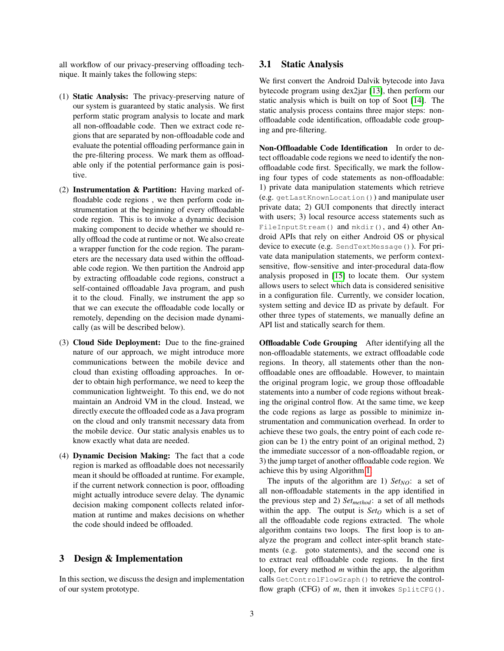all workflow of our privacy-preserving offloading technique. It mainly takes the following steps:

- (1) Static Analysis: The privacy-preserving nature of our system is guaranteed by static analysis. We first perform static program analysis to locate and mark all non-offloadable code. Then we extract code regions that are separated by non-offloadable code and evaluate the potential offloading performance gain in the pre-filtering process. We mark them as offloadable only if the potential performance gain is positive.
- (2) Instrumentation & Partition: Having marked offloadable code regions , we then perform code instrumentation at the beginning of every offloadable code region. This is to invoke a dynamic decision making component to decide whether we should really offload the code at runtime or not. We also create a wrapper function for the code region. The parameters are the necessary data used within the offloadable code region. We then partition the Android app by extracting offloadable code regions, construct a self-contained offloadable Java program, and push it to the cloud. Finally, we instrument the app so that we can execute the offloadable code locally or remotely, depending on the decision made dynamically (as will be described below).
- (3) Cloud Side Deployment: Due to the fine-grained nature of our approach, we might introduce more communications between the mobile device and cloud than existing offloading approaches. In order to obtain high performance, we need to keep the communication lightweight. To this end, we do not maintain an Android VM in the cloud. Instead, we directly execute the offloaded code as a Java program on the cloud and only transmit necessary data from the mobile device. Our static analysis enables us to know exactly what data are needed.
- (4) Dynamic Decision Making: The fact that a code region is marked as offloadable does not necessarily mean it should be offloaded at runtime. For example, if the current network connection is poor, offloading might actually introduce severe delay. The dynamic decision making component collects related information at runtime and makes decisions on whether the code should indeed be offloaded.

#### 3 Design & Implementation

In this section, we discuss the design and implementation of our system prototype.

#### 3.1 Static Analysis

We first convert the Android Dalvik bytecode into Java bytecode program using dex2jar [\[13\]](#page-6-3), then perform our static analysis which is built on top of Soot [\[14\]](#page-6-4). The static analysis process contains three major steps: nonoffloadable code identification, offloadable code grouping and pre-filtering.

Non-Offloadable Code Identification In order to detect offloadable code regions we need to identify the nonoffloadable code first. Specifically, we mark the following four types of code statements as non-offloadable: 1) private data manipulation statements which retrieve (e.g. getLastKnownLocation()) and manipulate user private data; 2) GUI components that directly interact with users; 3) local resource access statements such as FileInputStream() and mkdir(), and 4) other Android APIs that rely on either Android OS or physical device to execute (e.g. SendTextMessage()). For private data manipulation statements, we perform contextsensitive, flow-sensitive and inter-procedural data-flow analysis proposed in [\[15\]](#page-6-5) to locate them. Our system allows users to select which data is considered senisitive in a configuration file. Currently, we consider location, system setting and device ID as private by default. For other three types of statements, we manually define an API list and statically search for them.

Offloadable Code Grouping After identifying all the non-offloadable statements, we extract offloadable code regions. In theory, all statements other than the nonoffloadable ones are offloadable. However, to maintain the original program logic, we group those offloadable statements into a number of code regions without breaking the original control flow. At the same time, we keep the code regions as large as possible to minimize instrumentation and communication overhead. In order to achieve these two goals, the entry point of each code region can be 1) the entry point of an original method, 2) the immediate successor of a non-offloadable region, or 3) the jump target of another offloadable code region. We achieve this by using Algorithm [1.](#page-3-0)

The inputs of the algorithm are 1)  $Set_{NO}$ : a set of all non-offloadable statements in the app identified in the previous step and 2) *Setmethod*: a set of all methods within the app. The output is *Set<sup>O</sup>* which is a set of all the offloadable code regions extracted. The whole algorithm contains two loops. The first loop is to analyze the program and collect inter-split branch statements (e.g. goto statements), and the second one is to extract real offloadable code regions. In the first loop, for every method *m* within the app, the algorithm calls GetControlFlowGraph() to retrieve the controlflow graph (CFG) of  $m$ , then it invokes  $SplitCFG()$ .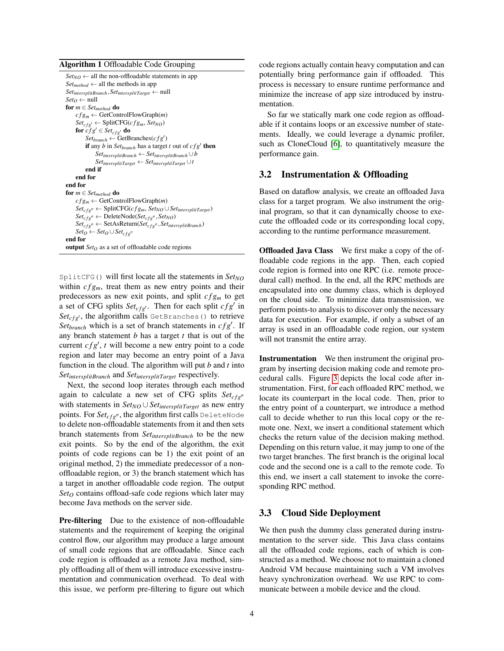#### <span id="page-3-0"></span>Algorithm 1 Offloadable Code Grouping

| $Set_{NO} \leftarrow$ all the non-offloadable statements in app                         |
|-----------------------------------------------------------------------------------------|
| $Set_{method} \leftarrow \text{all the methods in app}$                                 |
| $Set_{intersplitBranch}$ , $Set_{intersplitTarget} \leftarrow null$                     |
| $Set_O \leftarrow null$                                                                 |
| for $m \in Set_{method}$ do                                                             |
| $cfg_m \leftarrow \text{GetControlFlowGraph}(m)$                                        |
| $Set_{cfg'} \leftarrow SplitCFG(cfg_m, Set_{NO})$                                       |
| for $cfg' \in Set_{cfg'}$ do                                                            |
| $Set_{branch} \leftarrow GetBranches(cfg')$                                             |
| if any <i>b</i> in <i>Set<sub>branch</sub></i> has a target <i>t</i> out of $cfg'$ then |
| $Set_{intersplitBranch} \leftarrow Set_{intersplitBranch} \cup b$                       |
| $Set_{intersplitTarget} \leftarrow Set_{intersplitTarget} \cup t$                       |
| end if                                                                                  |
| end for                                                                                 |
| end for                                                                                 |
| for $m \in Set_{method}$ do                                                             |
| $cfg_m \leftarrow GetControlFlowGraph(m)$                                               |
| $Set_{cfg''} \leftarrow SplitCFG(cfg_m, Set_{NO} \cup Set_{intersplitTarget})$          |
| $Set_{cfg''} \leftarrow \text{DeleteNode}(Set_{cfg''}, Set_{NO})$                       |
| $Set_{cfg''} \leftarrow \text{SetAsReturn}(Set_{cfg''}, Set_{intersplitBranch})$        |
| $Set_{O} \leftarrow Set_{O} \cup Set_{cf}$ gu                                           |
| end for                                                                                 |
| <b>output</b> $Set_O$ as a set of offloadable code regions                              |

SplitCFG() will first locate all the statements in *SetNO* within  $cfg_m$ , treat them as new entry points and their predecessors as new exit points, and split  $cf g_m$  to get a set of CFG splits  $Set_{cfg}$ . Then for each split  $cfg'$  in  $Set_{cfg}$ , the algorithm calls GetBranches() to retrieve *Set*<sub>branch</sub> which is a set of branch statements in  $cfg'$ . If any branch statement *b* has a target *t* that is out of the current  $cfg'$ ,  $t$  will become a new entry point to a code region and later may become an entry point of a Java function in the cloud. The algorithm will put *b* and *t* into *SetintersplitBranch* and *SetintersplitTarget* respectively.

Next, the second loop iterates through each method again to calculate a new set of CFG splits *Set*<sub>cfa</sub><sup>n</sup> with statements in *SetNO* ∪*SetintersplitTarget* as new entry points. For *Set<sub>cfg"*</sub>, the algorithm first calls DeleteNode to delete non-offloadable statements from it and then sets branch statements from *SetintersplitBranch* to be the new exit points. So by the end of the algorithm, the exit points of code regions can be 1) the exit point of an original method, 2) the immediate predecessor of a nonoffloadable region, or 3) the branch statement which has a target in another offloadable code region. The output *Set<sup>O</sup>* contains offload-safe code regions which later may become Java methods on the server side.

Pre-filtering Due to the existence of non-offloadable statements and the requirement of keeping the original control flow, our algorithm may produce a large amount of small code regions that are offloadable. Since each code region is offloaded as a remote Java method, simply offloading all of them will introduce excessive instrumentation and communication overhead. To deal with this issue, we perform pre-filtering to figure out which code regions actually contain heavy computation and can potentially bring performance gain if offloaded. This process is necessary to ensure runtime performance and minimize the increase of app size introduced by instrumentation.

So far we statically mark one code region as offloadable if it contains loops or an excessive number of statements. Ideally, we could leverage a dynamic profiler, such as CloneCloud [\[6\]](#page-5-2), to quantitatively measure the performance gain.

### 3.2 Instrumentation & Offloading

Based on dataflow analysis, we create an offloaded Java class for a target program. We also instrument the original program, so that it can dynamically choose to execute the offloaded code or its corresponding local copy, according to the runtime performance measurement.

Offloaded Java Class We first make a copy of the offloadable code regions in the app. Then, each copied code region is formed into one RPC (i.e. remote procedural call) method. In the end, all the RPC methods are encapsulated into one dummy class, which is deployed on the cloud side. To minimize data transmission, we perform points-to analysis to discover only the necessary data for execution. For example, if only a subset of an array is used in an offloadable code region, our system will not transmit the entire array.

Instrumentation We then instrument the original program by inserting decision making code and remote procedural calls. Figure [3](#page-4-0) depicts the local code after instrumentation. First, for each offloaded RPC method, we locate its counterpart in the local code. Then, prior to the entry point of a counterpart, we introduce a method call to decide whether to run this local copy or the remote one. Next, we insert a conditional statement which checks the return value of the decision making method. Depending on this return value, it may jump to one of the two target branches. The first branch is the original local code and the second one is a call to the remote code. To this end, we insert a call statement to invoke the corresponding RPC method.

## 3.3 Cloud Side Deployment

We then push the dummy class generated during instrumentation to the server side. This Java class contains all the offloaded code regions, each of which is constructed as a method. We choose not to maintain a cloned Android VM because maintaining such a VM involves heavy synchronization overhead. We use RPC to communicate between a mobile device and the cloud.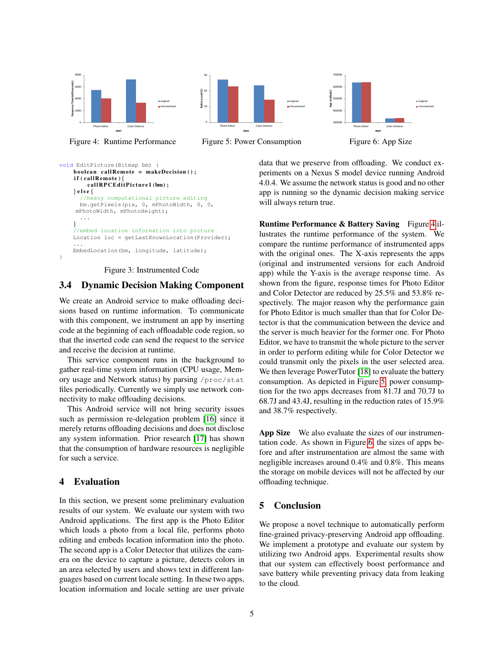<span id="page-4-1"></span>

Figure 4: Runtime Performance







data that we preserve from offloading. We conduct experiments on a Nexus S model device running Android 4.0.4. We assume the network status is good and no other app is running so the dynamic decision making service will always return true.

Runtime Performance & Battery Saving Figure [4](#page-4-1) illustrates the runtime performance of the system. We compare the runtime performance of instrumented apps with the original ones. The X-axis represents the apps (original and instrumented versions for each Android app) while the Y-axis is the average response time. As shown from the figure, response times for Photo Editor and Color Detector are reduced by 25.5% and 53.8% respectively. The major reason why the performance gain for Photo Editor is much smaller than that for Color Detector is that the communication between the device and the server is much heavier for the former one. For Photo Editor, we have to transmit the whole picture to the server in order to perform editing while for Color Detector we could transmit only the pixels in the user selected area. We then leverage PowerTutor [\[18\]](#page-6-8) to evaluate the battery consumption. As depicted in Figure [5,](#page-4-1) power consumption for the two apps decreases from 81.7J and 70.7J to 68.7J and 43.4J, resulting in the reduction rates of 15.9% and 38.7% respectively.

App Size We also evaluate the sizes of our instrumentation code. As shown in Figure [6,](#page-4-1) the sizes of apps before and after instrumentation are almost the same with negligible increases around 0.4% and 0.8%. This means the storage on mobile devices will not be affected by our offloading technique.

## 5 Conclusion

We propose a novel technique to automatically perform fine-grained privacy-preserving Android app offloading. We implement a prototype and evaluate our system by utilizing two Android apps. Experimental results show that our system can effectively boost performance and save battery while preventing privacy data from leaking to the cloud.

#### <span id="page-4-0"></span>void EditPicture(Bitmap bm) {  $boolean$  callRemote = makeDecision(); if (callRemote) callRPCEditPicture1(bm);  $\}$  e l s e  $\{$ //heavy computational picture editing bm.getPixels(pix, 0, mPhotoWidth, 0, 0, mPhotoWidth, mPhotoHeight); ... } //embed location information into picture Location loc = getLastKnownLocation(Provider): ... EmbedLocation(bm, longitude, latitude); }

Figure 3: Instrumented Code

# 3.4 Dynamic Decision Making Component

We create an Android service to make offloading decisions based on runtime information. To communicate with this component, we instrument an app by inserting code at the beginning of each offloadable code region, so that the inserted code can send the request to the service and receive the decision at runtime.

This service component runs in the background to gather real-time system information (CPU usage, Memory usage and Network status) by parsing /proc/stat files periodically. Currently we simply use network connectivity to make offloading decisions.

This Android service will not bring security issues such as permission re-delegation problem [\[16\]](#page-6-6) since it merely returns offloading decisions and does not disclose any system information. Prior research [\[17\]](#page-6-7) has shown that the consumption of hardware resources is negligible for such a service.

### 4 Evaluation

In this section, we present some preliminary evaluation results of our system. We evaluate our system with two Android applications. The first app is the Photo Editor which loads a photo from a local file, performs photo editing and embeds location information into the photo. The second app is a Color Detector that utilizes the camera on the device to capture a picture, detects colors in an area selected by users and shows text in different languages based on current locale setting. In these two apps, location information and locale setting are user private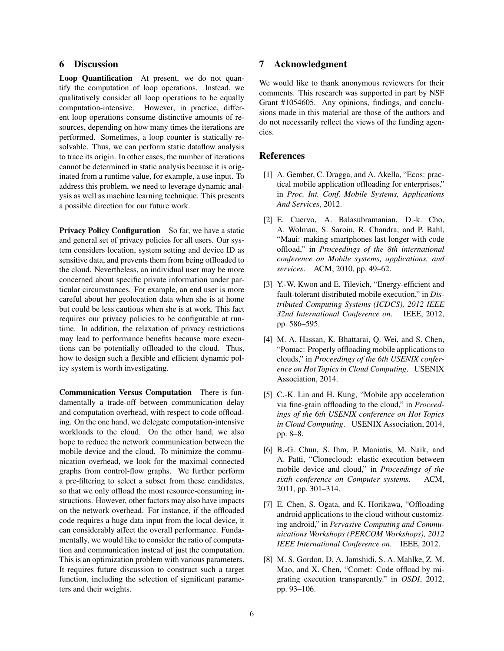# 6 Discussion

Loop Quantification At present, we do not quantify the computation of loop operations. Instead, we qualitatively consider all loop operations to be equally computation-intensive. However, in practice, different loop operations consume distinctive amounts of resources, depending on how many times the iterations are performed. Sometimes, a loop counter is statically resolvable. Thus, we can perform static dataflow analysis to trace its origin. In other cases, the number of iterations cannot be determined in static analysis because it is originated from a runtime value, for example, a use input. To address this problem, we need to leverage dynamic analysis as well as machine learning technique. This presents a possible direction for our future work.

Privacy Policy Configuration So far, we have a static and general set of privacy policies for all users. Our system considers location, system setting and device ID as sensitive data, and prevents them from being offloaded to the cloud. Nevertheless, an individual user may be more concerned about specific private information under particular circumstances. For example, an end user is more careful about her geolocation data when she is at home but could be less cautious when she is at work. This fact requires our privacy policies to be configurable at runtime. In addition, the relaxation of privacy restrictions may lead to performance benefits because more executions can be potentially offloaded to the cloud. Thus, how to design such a flexible and efficient dynamic policy system is worth investigating.

Communication Versus Computation There is fundamentally a trade-off between communication delay and computation overhead, with respect to code offloading. On the one hand, we delegate computation-intensive workloads to the cloud. On the other hand, we also hope to reduce the network communication between the mobile device and the cloud. To minimize the communication overhead, we look for the maximal connected graphs from control-flow graphs. We further perform a pre-filtering to select a subset from these candidates, so that we only offload the most resource-consuming instructions. However, other factors may also have impacts on the network overhead. For instance, if the offloaded code requires a huge data input from the local device, it can considerably affect the overall performance. Fundamentally, we would like to consider the ratio of computation and communication instead of just the computation. This is an optimization problem with various parameters. It requires future discussion to construct such a target function, including the selection of significant parameters and their weights.

#### 7 Acknowledgment

We would like to thank anonymous reviewers for their comments. This research was supported in part by NSF Grant #1054605. Any opinions, findings, and conclusions made in this material are those of the authors and do not necessarily reflect the views of the funding agencies.

#### References

- <span id="page-5-0"></span>[1] A. Gember, C. Dragga, and A. Akella, "Ecos: practical mobile application offloading for enterprises," in *Proc. Int. Conf. Mobile Systems, Applications And Services*, 2012.
- [2] E. Cuervo, A. Balasubramanian, D.-k. Cho, A. Wolman, S. Saroiu, R. Chandra, and P. Bahl, "Maui: making smartphones last longer with code offload," in *Proceedings of the 8th international conference on Mobile systems, applications, and services*. ACM, 2010, pp. 49–62.
- [3] Y.-W. Kwon and E. Tilevich, "Energy-efficient and fault-tolerant distributed mobile execution," in *Distributed Computing Systems (ICDCS), 2012 IEEE 32nd International Conference on*. IEEE, 2012, pp. 586–595.
- [4] M. A. Hassan, K. Bhattarai, Q. Wei, and S. Chen, "Pomac: Properly offloading mobile applications to clouds," in *Proceedings of the 6th USENIX conference on Hot Topics in Cloud Computing*. USENIX Association, 2014.
- [5] C.-K. Lin and H. Kung, "Mobile app acceleration via fine-grain offloading to the cloud," in *Proceedings of the 6th USENIX conference on Hot Topics in Cloud Computing*. USENIX Association, 2014, pp. 8–8.
- <span id="page-5-2"></span>[6] B.-G. Chun, S. Ihm, P. Maniatis, M. Naik, and A. Patti, "Clonecloud: elastic execution between mobile device and cloud," in *Proceedings of the sixth conference on Computer systems*. ACM, 2011, pp. 301–314.
- [7] E. Chen, S. Ogata, and K. Horikawa, "Offloading android applications to the cloud without customizing android," in *Pervasive Computing and Communications Workshops (PERCOM Workshops), 2012 IEEE International Conference on*. IEEE, 2012.
- <span id="page-5-1"></span>[8] M. S. Gordon, D. A. Jamshidi, S. A. Mahlke, Z. M. Mao, and X. Chen, "Comet: Code offload by migrating execution transparently." in *OSDI*, 2012, pp. 93–106.